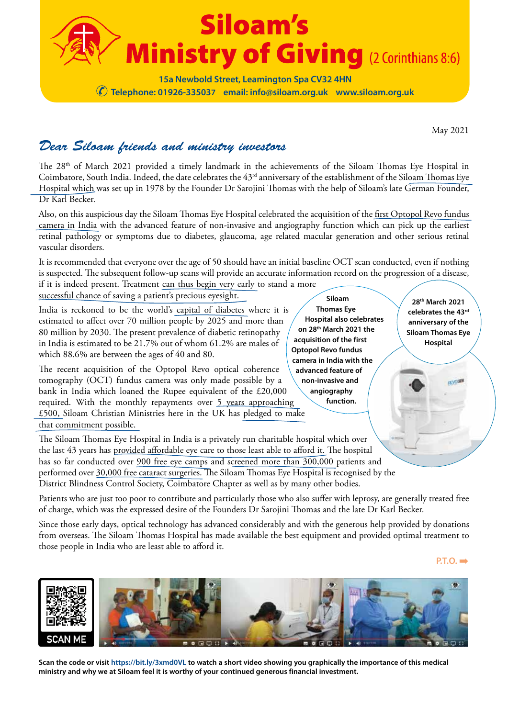

May 2021

## *Dear Siloam friends and ministry investors*

The 28<sup>th</sup> of March 2021 provided a timely landmark in the achievements of the Siloam Thomas Eye Hospital in Coimbatore, South India. Indeed, the date celebrates the 43rd anniversary of the establishment of the Siloam Thomas Eye Hospital which was set up in 1978 by the Founder Dr Sarojini Thomas with the help of Siloam's late German Founder, Dr Karl Becker.

Also, on this auspicious day the Siloam Thomas Eye Hospital celebrated the acquisition of the first Optopol Revo fundus camera in India with the advanced feature of non-invasive and angiography function which can pick up the earliest retinal pathology or symptoms due to diabetes, glaucoma, age related macular generation and other serious retinal vascular disorders.

It is recommended that everyone over the age of 50 should have an initial baseline OCT scan conducted, even if nothing is suspected. The subsequent follow-up scans will provide an accurate information record on the progression of a disease, if it is indeed present. Treatment can thus begin very early to stand a more

successful chance of saving a patient's precious eyesight.

India is reckoned to be the world's capital of diabetes where it is estimated to affect over 70 million people by 2025 and more than 80 million by 2030. The present prevalence of diabetic retinopathy in India is estimated to be 21.7% out of whom 61.2% are males of which 88.6% are between the ages of 40 and 80.

The recent acquisition of the Optopol Revo optical coherence tomography (OCT) fundus camera was only made possible by a bank in India which loaned the Rupee equivalent of the £20,000 required. With the monthly repayments over 5 years approaching £500, Siloam Christian Ministries here in the UK has pledged to make that commitment possible.

The Siloam Thomas Eye Hospital in India is a privately run charitable hospital which over the last 43 years has provided affordable eye care to those least able to afford it. The hospital has so far conducted over 900 free eye camps and screened more than 300,000 patients and performed over 30,000 free cataract surgeries. The Siloam Thomas Eye Hospital is recognised by the District Blindness Control Society, Coimbatore Chapter as well as by many other bodies.

Patients who are just too poor to contribute and particularly those who also suffer with leprosy, are generally treated free of charge, which was the expressed desire of the Founders Dr Sarojini Thomas and the late Dr Karl Becker.

Since those early days, optical technology has advanced considerably and with the generous help provided by donations from overseas. The Siloam Thomas Hospital has made available the best equipment and provided optimal treatment to those people in India who are least able to afford it.

**P.T.O. ➡** 



**Scan the code or visit https://bit.ly/3xmd0VL to watch a short video showing you graphically the importance of this medical ministry and why we at Siloam feel it is worthy of your continued generous financial investment.** 

**Siloam Thomas Eye Hospital also celebrates on 28th March 2021 the acquisition of the first Optopol Revo fundus camera in India with the advanced feature of non-invasive and angiography function.**

**28th March 2021 celebrates the 43rd anniversary of the Siloam Thomas Eye Hospital**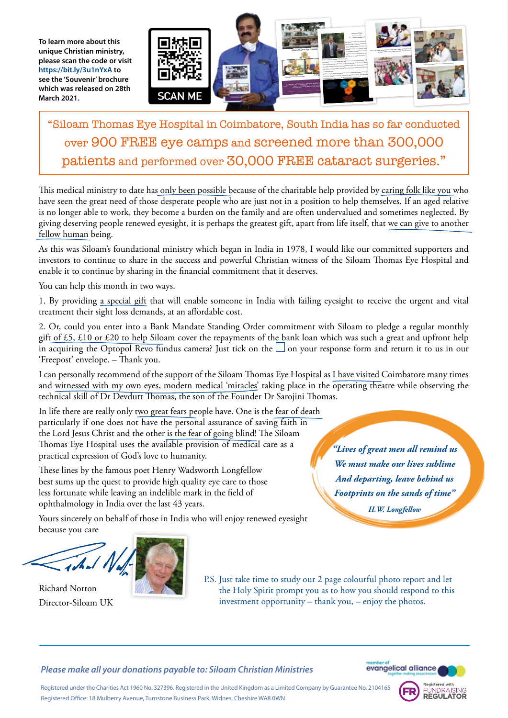**To learn more about this unique Christian ministry, please scan the code or visit https://bit.ly/3u1nYxA to see the 'Souvenir' brochure which was released on 28th March 2021.**



"Siloam Thomas Eye Hospital in Coimbatore, South India has so far conducted over 900 FREE eye camps and screened more than 300,000 patients and performed over 30,000 FREE cataract surgeries."

This medical ministry to date has only been possible because of the charitable help provided by caring folk like you who have seen the great need of those desperate people who are just not in a position to help themselves. If an aged relative is no longer able to work, they become a burden on the family and are often undervalued and sometimes neglected. By giving deserving people renewed eyesight, it is perhaps the greatest gift, apart from life itself, that we can give to another fellow human being.

As this was Siloam's foundational ministry which began in India in 1978, I would like our committed supporters and investors to continue to share in the success and powerful Christian witness of the Siloam Thomas Eye Hospital and enable it to continue by sharing in the financial commitment that it deserves.

You can help this month in two ways.

1. By providing a special gift that will enable someone in India with failing eyesight to receive the urgent and vital treatment their sight loss demands, at an affordable cost.

2. Or, could you enter into a Bank Mandate Standing Order commitment with Siloam to pledge a regular monthly gift of £5, £10 or £20 to help Siloam cover the repayments of the bank loan which was such a great and upfront help in acquiring the Optopol Revo fundus camera? Just tick on the  $\Box$  on your response form and return it to us in our 'Freepost' envelope. – Thank you.

I can personally recommend of the support of the Siloam Thomas Eye Hospital as I have visited Coimbatore many times and witnessed with my own eyes, modern medical 'miracles' taking place in the operating theatre while observing the technical skill of Dr Devdutt Thomas, the son of the Founder Dr Sarojini Thomas.

In life there are really only two great fears people have. One is the fear of death particularly if one does not have the personal assurance of saving faith in the Lord Jesus Christ and the other is the fear of going blind! The Siloam Thomas Eye Hospital uses the available provision of medical care as a practical expression of God's love to humanity.

These lines by the famous poet Henry Wadsworth Longfellow best sums up the quest to provide high quality eye care to those less fortunate while leaving an indelible mark in the field of ophthalmology in India over the last 43 years.

*"Lives of great men all remind us We must make our lives sublime And departing, leave behind us Footprints on the sands of time" H.W. Longfellow*

Yours sincerely on behalf of those in India who will enjoy renewed eyesight because you care



Richard Norton Director-Siloam UK P.S. Just take time to study our 2 page colourful photo report and let the Holy Spirit prompt you as to how you should respond to this investment opportunity – thank you, – enjoy the photos.

*Please make all your donations payable to: Siloam Christian Ministries* 



Registered under the Charities Act 1960 No. 327396. Registered in the United Kingdom as a Limited Company by Guarantee No. 2104165 Registered Office: 18 Mulberry Avenue, Turnstone Business Park, Widnes, Cheshire WA8 0WN

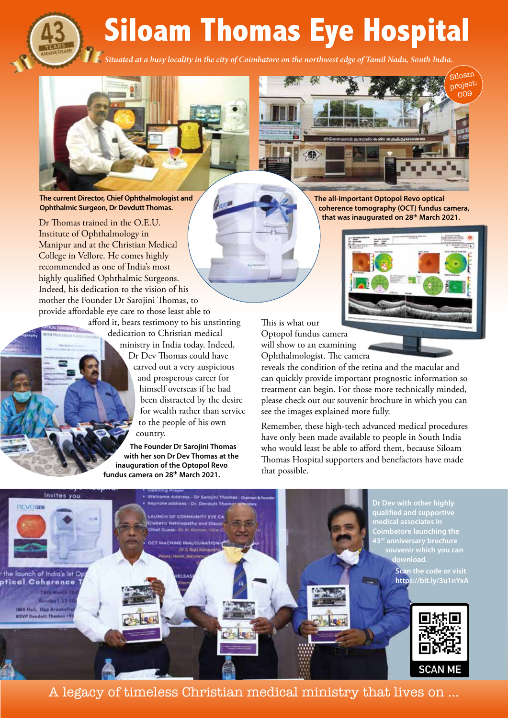**Siloam Thomas Eye Hospital**

*Situated at a busy locality in the city of Coimbatore on the northwest edge of Tamil Nadu, South India.*





**The current Director, Chief Ophthalmologist and Ophthalmic Surgeon, Dr Devdutt Thomas.**

Dr Thomas trained in the O.E.U. Institute of Ophthalmology in Manipur and at the Christian Medical College in Vellore. He comes highly recommended as one of India's most highly qualified Ophthalmic Surgeons. Indeed, his dedication to the vision of his mother the Founder Dr Sarojini Thomas, to provide affordable eye care to those least able to

afford it, bears testimony to his unstinting dedication to Christian medical ministry in India today. Indeed, Dr Dev Thomas could have carved out a very auspicious and prosperous career for himself overseas if he had been distracted by the desire for wealth rather than service to the people of his own country.

**The Founder Dr Sarojini Thomas with her son Dr Dev Thomas at the inauguration of the Optopol Revo fundus camera on 28th March 2021.**

**The all-important Optopol Revo optical coherence tomography (OCT) fundus camera, that was inaugurated on 28th March 2021.**



Siloam

This is what our Optopol fundus camera will show to an examining Ophthalmologist. The camera

reveals the condition of the retina and the macular and can quickly provide important prognostic information so treatment can begin. For those more technically minded, please check out our souvenir brochure in which you can see the images explained more fully.

Remember, these high-tech advanced medical procedures have only been made available to people in South India who would least be able to afford them, because Siloam Thomas Hospital supporters and benefactors have made that possible.



A legacy of timeless Christian medical ministry that lives on …